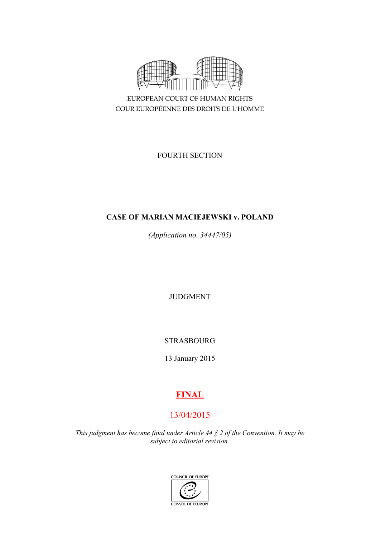

COUR EUROPÉENNE DES DROITS DE L'HOMME

FOURTH SECTION

# **CASE OF MARIAN MACIEJEWSKI v. POLAND**

*(Application no. 34447/05)*

JUDGMENT

STRASBOURG

13 January 2015

# **FINAL**

# 13/04/2015

*This judgment has become final under Article 44 § 2 of the Convention. It may be subject to editorial revision.*

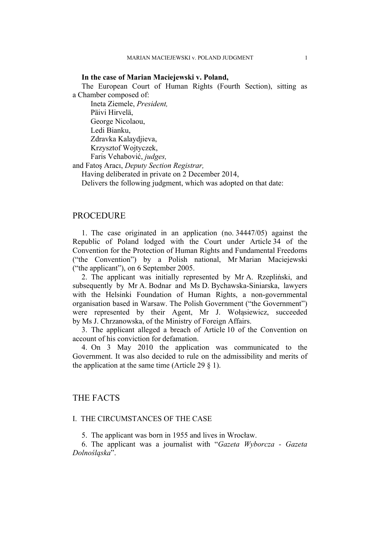#### **In the case of Marian Maciejewski v. Poland,**

The European Court of Human Rights (Fourth Section), sitting as a Chamber composed of:

Ineta Ziemele, *President,* Päivi Hirvelä, George Nicolaou, Ledi Bianku, Zdravka Kalaydjieva, Krzysztof Wojtyczek, Faris Vehabović, *judges,*

and Fatoş Aracı, *Deputy Section Registrar,*

Having deliberated in private on 2 December 2014,

Delivers the following judgment, which was adopted on that date:

## **PROCEDURE**

1. The case originated in an application (no. 34447/05) against the Republic of Poland lodged with the Court under Article 34 of the Convention for the Protection of Human Rights and Fundamental Freedoms ("the Convention") by a Polish national, Mr Marian Maciejewski ("the applicant"), on 6 September 2005.

2. The applicant was initially represented by Mr A. Rzepliński, and subsequently by Mr A. Bodnar and Ms D. Bychawska-Siniarska, lawyers with the Helsinki Foundation of Human Rights, a non-governmental organisation based in Warsaw. The Polish Government ("the Government") were represented by their Agent, Mr J. Wołąsiewicz, succeeded by Ms J. Chrzanowska, of the Ministry of Foreign Affairs.

3. The applicant alleged a breach of Article 10 of the Convention on account of his conviction for defamation.

4. On 3 May 2010 the application was communicated to the Government. It was also decided to rule on the admissibility and merits of the application at the same time (Article 29  $\S$  1).

# THE FACTS

#### I. THE CIRCUMSTANCES OF THE CASE

5. The applicant was born in 1955 and lives in Wrocław.

6. The applicant was a journalist with "*Gazeta Wyborcza - Gazeta Dolnośląska*".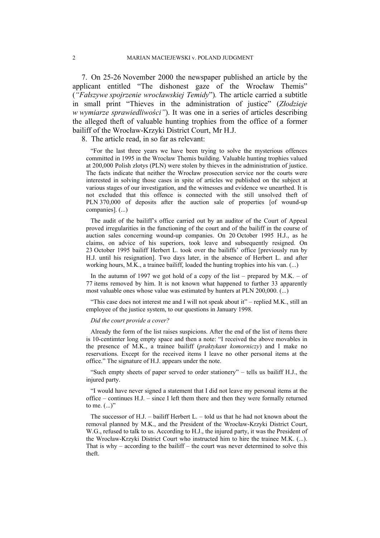7. On 25-26 November 2000 the newspaper published an article by the applicant entitled "The dishonest gaze of the Wrocław Themis" (*"Fałszywe spojrzenie wrocławskiej Temidy*")*.* The article carried a subtitle in small print "Thieves in the administration of justice" (*Złodzieje w wymiarze sprawiedliwości"*). It was one in a series of articles describing the alleged theft of valuable hunting trophies from the office of a former bailiff of the Wrocław-Krzyki District Court, Mr H.J.

8. The article read, in so far as relevant:

"For the last three years we have been trying to solve the mysterious offences committed in 1995 in the Wrocław Themis building. Valuable hunting trophies valued at 200,000 Polish zlotys (PLN) were stolen by thieves in the administration of justice. The facts indicate that neither the Wrocław prosecution service nor the courts were interested in solving those cases in spite of articles we published on the subject at various stages of our investigation, and the witnesses and evidence we unearthed. It is not excluded that this offence is connected with the still unsolved theft of PLN 370,000 of deposits after the auction sale of properties [of wound-up companies]. (...)

The audit of the bailiff's office carried out by an auditor of the Court of Appeal proved irregularities in the functioning of the court and of the bailiff in the course of auction sales concerning wound-up companies. On 20 October 1995 H.J., as he claims, on advice of his superiors, took leave and subsequently resigned. On 23 October 1995 bailiff Herbert L. took over the bailiffs' office [previously run by H.J. until his resignation]. Two days later, in the absence of Herbert L. and after working hours, M.K., a trainee bailiff, loaded the hunting trophies into his van. (...)

In the autumn of 1997 we got hold of a copy of the list – prepared by  $M.K. - of$ 77 items removed by him. It is not known what happened to further 33 apparently most valuable ones whose value was estimated by hunters at PLN 200,000. (...)

"This case does not interest me and I will not speak about it" – replied M.K., still an employee of the justice system, to our questions in January 1998.

#### *Did the court provide a cover?*

Already the form of the list raises suspicions. After the end of the list of items there is 10-centimter long empty space and then a note: "I received the above movables in the presence of M.K., a trainee bailiff (*praktykant komorniczy*) and I make no reservations. Except for the received items I leave no other personal items at the office." The signature of H.J. appears under the note.

"Such empty sheets of paper served to order stationery" – tells us bailiff H.J., the injured party.

"I would have never signed a statement that I did not leave my personal items at the office – continues H.J. – since I left them there and then they were formally returned to me.  $(...)$ "

The successor of H.J. – bailiff Herbert L. – told us that he had not known about the removal planned by M.K., and the President of the Wrocław-Krzyki District Court, W.G., refused to talk to us. According to H.J., the injured party, it was the President of the Wrocław-Krzyki District Court who instructed him to hire the trainee M.K. (...). That is why – according to the bailiff – the court was never determined to solve this theft.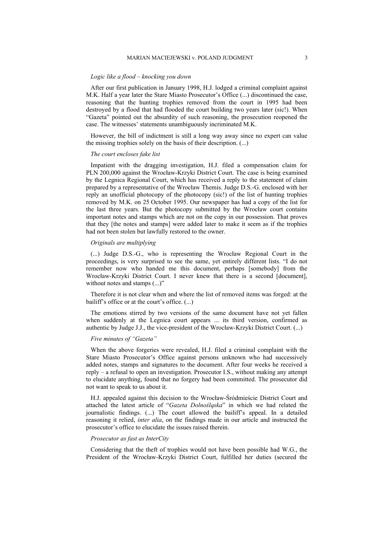#### *Logic like a flood – knocking you down*

After our first publication in January 1998, H.J. lodged a criminal complaint against M.K. Half a year later the Stare Miasto Prosecutor's Office (...) discontinued the case, reasoning that the hunting trophies removed from the court in 1995 had been destroyed by a flood that had flooded the court building two years later (sic!). When "Gazeta" pointed out the absurdity of such reasoning, the prosecution reopened the case. The witnesses' statements unambiguously incriminated M.K.

However, the bill of indictment is still a long way away since no expert can value the missing trophies solely on the basis of their description. (...)

#### *The court encloses fake list*

Impatient with the dragging investigation, H.J. filed a compensation claim for PLN 200,000 against the Wrocław-Krzyki District Court. The case is being examined by the Legnica Regional Court, which has received a reply to the statement of claim prepared by a representative of the Wrocław Themis. Judge D.S.-G. enclosed with her reply an unofficial photocopy of the photocopy (sic!) of the list of hunting trophies removed by M.K. on 25 October 1995. Our newspaper has had a copy of the list for the last three years. But the photocopy submitted by the Wrocław court contains important notes and stamps which are not on the copy in our possession. That proves that they [the notes and stamps] were added later to make it seem as if the trophies had not been stolen but lawfully restored to the owner.

#### *Originals are multiplying*

(...) Judge D.S.-G., who is representing the Wrocław Regional Court in the proceedings, is very surprised to see the same, yet entirely different lists. "I do not remember now who handed me this document, perhaps [somebody] from the Wrocław-Krzyki District Court. I never knew that there is a second [document], without notes and stamps  $(...)$ "

Therefore it is not clear when and where the list of removed items was forged: at the bailiff's office or at the court's office. (...)

The emotions stirred by two versions of the same document have not yet fallen when suddenly at the Legnica court appears ... its third version, confirmed as authentic by Judge J.J., the vice-president of the Wrocław-Krzyki District Court. (...)

#### *Five minutes of "Gazeta"*

When the above forgeries were revealed, H.J. filed a criminal complaint with the Stare Miasto Prosecutor's Office against persons unknown who had successively added notes, stamps and signatures to the document. After four weeks he received a reply – a refusal to open an investigation. Prosecutor I.S., without making any attempt to elucidate anything, found that no forgery had been committed. The prosecutor did not want to speak to us about it.

H.J. appealed against this decision to the Wrocław-Śródmieście District Court and attached the latest article of "*Gazeta Dolnośląska*" in which we had related the journalistic findings. (...) The court allowed the bailiff's appeal. In a detailed reasoning it relied, *inter alia*, on the findings made in our article and instructed the prosecutor's office to elucidate the issues raised therein.

#### *Prosecutor as fast as InterCity*

Considering that the theft of trophies would not have been possible had W.G., the President of the Wrocław-Krzyki District Court, fulfilled her duties (secured the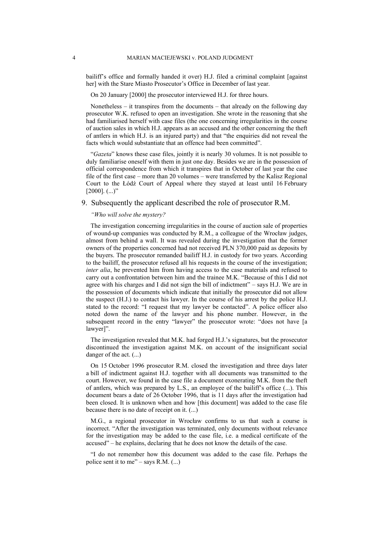bailiff's office and formally handed it over) H.J. filed a criminal complaint [against her] with the Stare Miasto Prosecutor's Office in December of last year.

On 20 January [2000] the prosecutor interviewed H.J. for three hours.

Nonetheless – it transpires from the documents – that already on the following day prosecutor W.K. refused to open an investigation. She wrote in the reasoning that she had familiarised herself with case files (the one concerning irregularities in the course of auction sales in which H.J. appears as an accused and the other concerning the theft of antlers in which H.J. is an injured party) and that "the enquiries did not reveal the facts which would substantiate that an offence had been committed".

"*Gazeta*" knows these case files, jointly it is nearly 30 volumes. It is not possible to duly familiarise oneself with them in just one day. Besides we are in the possession of official correspondence from which it transpires that in October of last year the case file of the first case – more than 20 volumes – were transferred by the Kalisz Regional Court to the Łódź Court of Appeal where they stayed at least until 16 February  $[2000]$ . (...)"

#### 9. Subsequently the applicant described the role of prosecutor R.M.

#### *"Who will solve the mystery?*

The investigation concerning irregularities in the course of auction sale of properties of wound-up companies was conducted by R.M., a colleague of the Wrocław judges, almost from behind a wall. It was revealed during the investigation that the former owners of the properties concerned had not received PLN 370,000 paid as deposits by the buyers. The prosecutor remanded bailiff H.J. in custody for two years. According to the bailiff, the prosecutor refused all his requests in the course of the investigation; *inter alia*, he prevented him from having access to the case materials and refused to carry out a confrontation between him and the trainee M.K. "Because of this I did not agree with his charges and I did not sign the bill of indictment" – says H.J. We are in the possession of documents which indicate that initially the prosecutor did not allow the suspect (H.J.) to contact his lawyer. In the course of his arrest by the police H.J. stated to the record: "I request that my lawyer be contacted". A police officer also noted down the name of the lawyer and his phone number. However, in the subsequent record in the entry "lawyer" the prosecutor wrote: "does not have [a lawyer]".

The investigation revealed that M.K. had forged H.J.'s signatures, but the prosecutor discontinued the investigation against M.K. on account of the insignificant social danger of the act. (...)

On 15 October 1996 prosecutor R.M. closed the investigation and three days later a bill of indictment against H.J. together with all documents was transmitted to the court. However, we found in the case file a document exonerating M.K. from the theft of antlers, which was prepared by L.S., an employee of the bailiff's office (...). This document bears a date of 26 October 1996, that is 11 days after the investigation had been closed. It is unknown when and how [this document] was added to the case file because there is no date of receipt on it. (...)

M.G., a regional prosecutor in Wrocław confirms to us that such a course is incorrect. "After the investigation was terminated, only documents without relevance for the investigation may be added to the case file, i.e. a medical certificate of the accused" – he explains, declaring that he does not know the details of the case.

"I do not remember how this document was added to the case file. Perhaps the police sent it to me" – says R.M.  $(...)$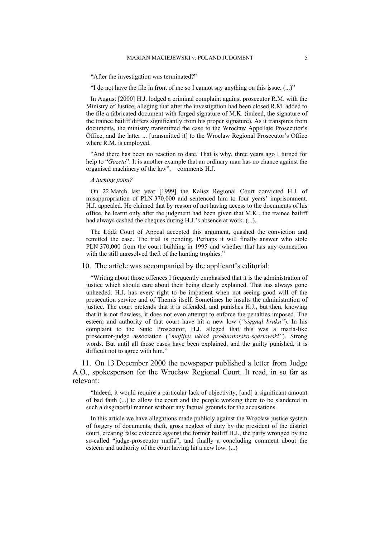"After the investigation was terminated?"

"I do not have the file in front of me so I cannot say anything on this issue. (...)"

In August [2000] H.J. lodged a criminal complaint against prosecutor R.M. with the Ministry of Justice, alleging that after the investigation had been closed R.M. added to the file a fabricated document with forged signature of M.K. (indeed, the signature of the trainee bailiff differs significantly from his proper signature). As it transpires from documents, the ministry transmitted the case to the Wrocław Appellate Prosecutor's Office, and the latter ... [transmitted it] to the Wrocław Regional Prosecutor's Office where R.M. is employed.

"And there has been no reaction to date. That is why, three years ago I turned for help to "*Gazeta*". It is another example that an ordinary man has no chance against the organised machinery of the law", – comments H.J.

#### *A turning point?*

On 22 March last year [1999] the Kalisz Regional Court convicted H.J. of misappropriation of PLN 370,000 and sentenced him to four years' imprisonment. H.J. appealed. He claimed that by reason of not having access to the documents of his office, he learnt only after the judgment had been given that M.K., the trainee bailiff had always cashed the cheques during H.J.'s absence at work. (...).

The Łódź Court of Appeal accepted this argument, quashed the conviction and remitted the case. The trial is pending. Perhaps it will finally answer who stole PLN 370,000 from the court building in 1995 and whether that has any connection with the still unresolved theft of the hunting trophies."

10. The article was accompanied by the applicant's editorial:

"Writing about those offences I frequently emphasised that it is the administration of justice which should care about their being clearly explained. That has always gone unheeded. H.J. has every right to be impatient when not seeing good will of the prosecution service and of Themis itself. Sometimes he insults the administration of justice. The court pretends that it is offended, and punishes H.J., but then, knowing that it is not flawless, it does not even attempt to enforce the penalties imposed. The esteem and authority of that court have hit a new low (*"sięgnął bruku"*). In his complaint to the State Prosecutor, H.J. alleged that this was a mafia-like prosecutor-judge association (*"mafijny układ prokuratorsko-sędziowski"*). Strong words. But until all those cases have been explained, and the guilty punished, it is difficult not to agree with him."

11. On 13 December 2000 the newspaper published a letter from Judge A.O., spokesperson for the Wrocław Regional Court. It read, in so far as relevant:

"Indeed, it would require a particular lack of objectivity, [and] a significant amount of bad faith (...) to allow the court and the people working there to be slandered in such a disgraceful manner without any factual grounds for the accusations.

In this article we have allegations made publicly against the Wrocław justice system of forgery of documents, theft, gross neglect of duty by the president of the district court, creating false evidence against the former bailiff H.J., the party wronged by the so-called "judge-prosecutor mafia", and finally a concluding comment about the esteem and authority of the court having hit a new low. (...)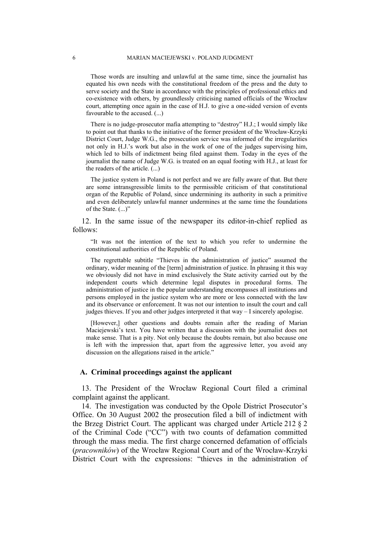Those words are insulting and unlawful at the same time, since the journalist has equated his own needs with the constitutional freedom of the press and the duty to serve society and the State in accordance with the principles of professional ethics and co-existence with others, by groundlessly criticising named officials of the Wrocław court, attempting once again in the case of H.J. to give a one-sided version of events favourable to the accused. (...)

There is no judge-prosecutor mafia attempting to "destroy" H.J.; I would simply like to point out that thanks to the initiative of the former president of the Wrocław-Krzyki District Court, Judge W.G., the prosecution service was informed of the irregularities not only in H.J.'s work but also in the work of one of the judges supervising him, which led to bills of indictment being filed against them. Today in the eyes of the journalist the name of Judge W.G. is treated on an equal footing with H.J., at least for the readers of the article. (...)

The justice system in Poland is not perfect and we are fully aware of that. But there are some intransgressible limits to the permissible criticism of that constitutional organ of the Republic of Poland, since undermining its authority in such a primitive and even deliberately unlawful manner undermines at the same time the foundations of the State. (...)"

12. In the same issue of the newspaper its editor-in-chief replied as follows:

"It was not the intention of the text to which you refer to undermine the constitutional authorities of the Republic of Poland.

The regrettable subtitle "Thieves in the administration of justice" assumed the ordinary, wider meaning of the [term] administration of justice. In phrasing it this way we obviously did not have in mind exclusively the State activity carried out by the independent courts which determine legal disputes in procedural forms. The administration of justice in the popular understanding encompasses all institutions and persons employed in the justice system who are more or less connected with the law and its observance or enforcement. It was not our intention to insult the court and call judges thieves. If you and other judges interpreted it that way – I sincerely apologise.

[However,] other questions and doubts remain after the reading of Marian Maciejewski's text. You have written that a discussion with the journalist does not make sense. That is a pity. Not only because the doubts remain, but also because one is left with the impression that, apart from the aggressive letter, you avoid any discussion on the allegations raised in the article."

#### **A. Criminal proceedings against the applicant**

13. The President of the Wrocław Regional Court filed a criminal complaint against the applicant.

14. The investigation was conducted by the Opole District Prosecutor's Office. On 30 August 2002 the prosecution filed a bill of indictment with the Brzeg District Court. The applicant was charged under Article 212 § 2 of the Criminal Code ("CC") with two counts of defamation committed through the mass media. The first charge concerned defamation of officials (*pracowników*) of the Wrocław Regional Court and of the Wrocław-Krzyki District Court with the expressions: "thieves in the administration of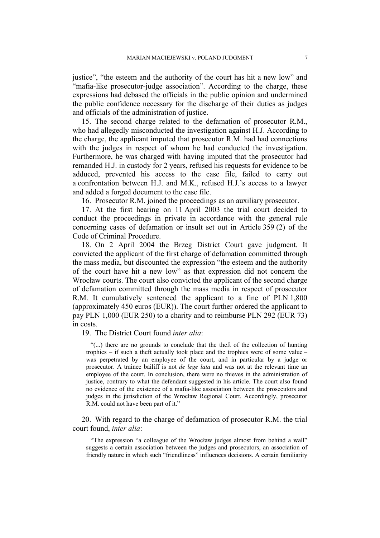justice", "the esteem and the authority of the court has hit a new low" and "mafia-like prosecutor-judge association". According to the charge, these expressions had debased the officials in the public opinion and undermined the public confidence necessary for the discharge of their duties as judges and officials of the administration of justice.

15. The second charge related to the defamation of prosecutor R.M., who had allegedly misconducted the investigation against H.J. According to the charge, the applicant imputed that prosecutor R.M. had had connections with the judges in respect of whom he had conducted the investigation. Furthermore, he was charged with having imputed that the prosecutor had remanded H.J. in custody for 2 years, refused his requests for evidence to be adduced, prevented his access to the case file, failed to carry out a confrontation between H.J. and M.K., refused H.J.'s access to a lawyer and added a forged document to the case file.

16. Prosecutor R.M. joined the proceedings as an auxiliary prosecutor.

17. At the first hearing on 11 April 2003 the trial court decided to conduct the proceedings in private in accordance with the general rule concerning cases of defamation or insult set out in Article 359 (2) of the Code of Criminal Procedure.

18. On 2 April 2004 the Brzeg District Court gave judgment. It convicted the applicant of the first charge of defamation committed through the mass media, but discounted the expression "the esteem and the authority of the court have hit a new low" as that expression did not concern the Wrocław courts. The court also convicted the applicant of the second charge of defamation committed through the mass media in respect of prosecutor R.M. It cumulatively sentenced the applicant to a fine of PLN 1,800 (approximately 450 euros (EUR)). The court further ordered the applicant to pay PLN 1,000 (EUR 250) to a charity and to reimburse PLN 292 (EUR 73) in costs.

19. The District Court found *inter alia*:

"(...) there are no grounds to conclude that the theft of the collection of hunting trophies – if such a theft actually took place and the trophies were of some value – was perpetrated by an employee of the court, and in particular by a judge or prosecutor. A trainee bailiff is not *de lege lata* and was not at the relevant time an employee of the court. In conclusion, there were no thieves in the administration of justice, contrary to what the defendant suggested in his article. The court also found no evidence of the existence of a mafia-like association between the prosecutors and judges in the jurisdiction of the Wrocław Regional Court. Accordingly, prosecutor R.M. could not have been part of it."

20. With regard to the charge of defamation of prosecutor R.M. the trial court found, *inter alia*:

"The expression "a colleague of the Wrocław judges almost from behind a wall" suggests a certain association between the judges and prosecutors, an association of friendly nature in which such "friendliness" influences decisions. A certain familiarity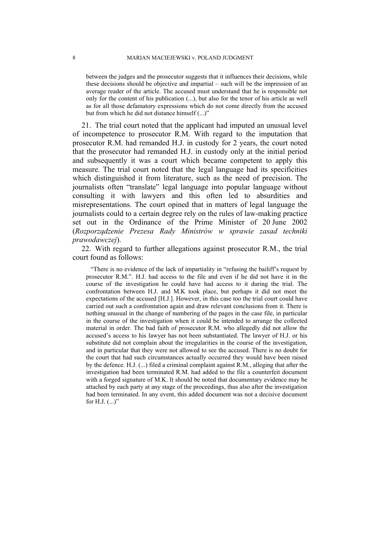between the judges and the prosecutor suggests that it influences their decisions, while these decisions should be objective and impartial – such will be the impression of an average reader of the article. The accused must understand that he is responsible not only for the content of his publication (...), but also for the tenor of his article as well as for all those defamatory expressions which do not come directly from the accused but from which he did not distance himself (...)"

21. The trial court noted that the applicant had imputed an unusual level of incompetence to prosecutor R.M. With regard to the imputation that prosecutor R.M. had remanded H.J. in custody for 2 years, the court noted that the prosecutor had remanded H.J. in custody only at the initial period and subsequently it was a court which became competent to apply this measure. The trial court noted that the legal language had its specificities which distinguished it from literature, such as the need of precision. The journalists often "translate" legal language into popular language without consulting it with lawyers and this often led to absurdities and misrepresentations. The court opined that in matters of legal language the journalists could to a certain degree rely on the rules of law-making practice set out in the Ordinance of the Prime Minister of 20 June 2002 (*Rozporządzenie Prezesa Rady Ministrów w sprawie zasad techniki prawodawczej*).

22. With regard to further allegations against prosecutor R.M., the trial court found as follows:

"There is no evidence of the lack of impartiality in "refusing the bailiff's request by prosecutor R.M.". H.J. had access to the file and even if he did not have it in the course of the investigation he could have had access to it during the trial. The confrontation between H.J. and M.K took place, but perhaps it did not meet the expectations of the accused [H.J.]. However, in this case too the trial court could have carried out such a confrontation again and draw relevant conclusions from it. There is nothing unusual in the change of numbering of the pages in the case file, in particular in the course of the investigation when it could be intended to arrange the collected material in order. The bad faith of prosecutor R.M. who allegedly did not allow the accused's access to his lawyer has not been substantiated. The lawyer of H.J. or his substitute did not complain about the irregularities in the course of the investigation, and in particular that they were not allowed to see the accused. There is no doubt for the court that had such circumstances actually occurred they would have been raised by the defence. H.J. (...) filed a criminal complaint against R.M., alleging that after the investigation had been terminated R.M. had added to the file a counterfeit document with a forged signature of M.K. It should be noted that documentary evidence may be attached by each party at any stage of the proceedings, thus also after the investigation had been terminated. In any event, this added document was not a decisive document for H.J.  $(...)$ "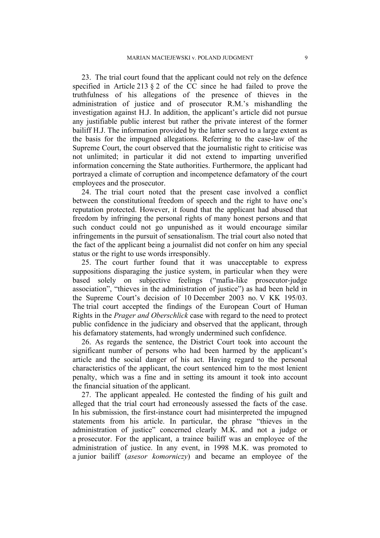23. The trial court found that the applicant could not rely on the defence specified in Article 213  $\S$  2 of the CC since he had failed to prove the truthfulness of his allegations of the presence of thieves in the administration of justice and of prosecutor R.M.'s mishandling the investigation against H.J. In addition, the applicant's article did not pursue any justifiable public interest but rather the private interest of the former bailiff H.J. The information provided by the latter served to a large extent as the basis for the impugned allegations. Referring to the case-law of the Supreme Court, the court observed that the journalistic right to criticise was not unlimited; in particular it did not extend to imparting unverified information concerning the State authorities. Furthermore, the applicant had portrayed a climate of corruption and incompetence defamatory of the court employees and the prosecutor.

24. The trial court noted that the present case involved a conflict between the constitutional freedom of speech and the right to have one's reputation protected. However, it found that the applicant had abused that freedom by infringing the personal rights of many honest persons and that such conduct could not go unpunished as it would encourage similar infringements in the pursuit of sensationalism. The trial court also noted that the fact of the applicant being a journalist did not confer on him any special status or the right to use words irresponsibly.

25. The court further found that it was unacceptable to express suppositions disparaging the justice system, in particular when they were based solely on subjective feelings ("mafia-like prosecutor-judge association", "thieves in the administration of justice") as had been held in the Supreme Court's decision of 10 December 2003 no. V KK 195/03. The trial court accepted the findings of the European Court of Human Rights in the *Prager and Oberschlick* case with regard to the need to protect public confidence in the judiciary and observed that the applicant, through his defamatory statements, had wrongly undermined such confidence.

26. As regards the sentence, the District Court took into account the significant number of persons who had been harmed by the applicant's article and the social danger of his act. Having regard to the personal characteristics of the applicant, the court sentenced him to the most lenient penalty, which was a fine and in setting its amount it took into account the financial situation of the applicant.

27. The applicant appealed. He contested the finding of his guilt and alleged that the trial court had erroneously assessed the facts of the case. In his submission, the first-instance court had misinterpreted the impugned statements from his article. In particular, the phrase "thieves in the administration of justice" concerned clearly M.K. and not a judge or a prosecutor. For the applicant, a trainee bailiff was an employee of the administration of justice. In any event, in 1998 M.K. was promoted to a junior bailiff (*asesor komorniczy*) and became an employee of the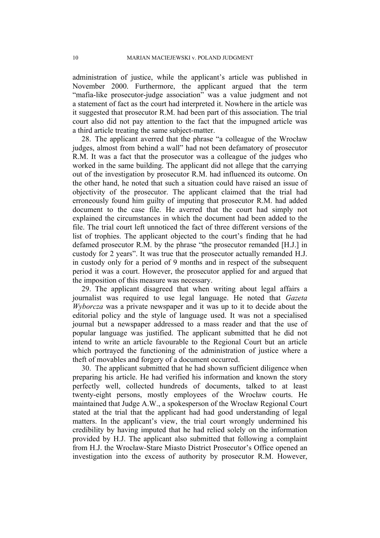administration of justice, while the applicant's article was published in November 2000. Furthermore, the applicant argued that the term "mafia-like prosecutor-judge association" was a value judgment and not a statement of fact as the court had interpreted it. Nowhere in the article was it suggested that prosecutor R.M. had been part of this association. The trial court also did not pay attention to the fact that the impugned article was a third article treating the same subject-matter.

28. The applicant averred that the phrase "a colleague of the Wrocław judges, almost from behind a wall" had not been defamatory of prosecutor R.M. It was a fact that the prosecutor was a colleague of the judges who worked in the same building. The applicant did not allege that the carrying out of the investigation by prosecutor R.M. had influenced its outcome. On the other hand, he noted that such a situation could have raised an issue of objectivity of the prosecutor. The applicant claimed that the trial had erroneously found him guilty of imputing that prosecutor R.M. had added document to the case file. He averred that the court had simply not explained the circumstances in which the document had been added to the file. The trial court left unnoticed the fact of three different versions of the list of trophies. The applicant objected to the court's finding that he had defamed prosecutor R.M. by the phrase "the prosecutor remanded [H.J.] in custody for 2 years". It was true that the prosecutor actually remanded H.J. in custody only for a period of 9 months and in respect of the subsequent period it was a court. However, the prosecutor applied for and argued that the imposition of this measure was necessary.

29. The applicant disagreed that when writing about legal affairs a journalist was required to use legal language. He noted that *Gazeta Wyborcza* was a private newspaper and it was up to it to decide about the editorial policy and the style of language used. It was not a specialised journal but a newspaper addressed to a mass reader and that the use of popular language was justified. The applicant submitted that he did not intend to write an article favourable to the Regional Court but an article which portrayed the functioning of the administration of justice where a theft of movables and forgery of a document occurred.

30. The applicant submitted that he had shown sufficient diligence when preparing his article. He had verified his information and known the story perfectly well, collected hundreds of documents, talked to at least twenty-eight persons, mostly employees of the Wrocław courts. He maintained that Judge A.W., a spokesperson of the Wrocław Regional Court stated at the trial that the applicant had had good understanding of legal matters. In the applicant's view, the trial court wrongly undermined his credibility by having imputed that he had relied solely on the information provided by H.J. The applicant also submitted that following a complaint from H.J. the Wrocław-Stare Miasto District Prosecutor's Office opened an investigation into the excess of authority by prosecutor R.M. However,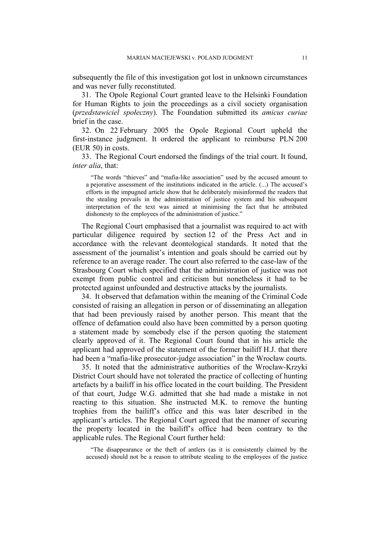subsequently the file of this investigation got lost in unknown circumstances and was never fully reconstituted.

31. The Opole Regional Court granted leave to the Helsinki Foundation for Human Rights to join the proceedings as a civil society organisation (*przedstawiciel społeczny*). The Foundation submitted its *amicus curiae* brief in the case.

32. On 22 February 2005 the Opole Regional Court upheld the first-instance judgment. It ordered the applicant to reimburse PLN 200 (EUR 50) in costs.

33. The Regional Court endorsed the findings of the trial court. It found, *inter alia*, that:

"The words "thieves" and "mafia-like association" used by the accused amount to a pejorative assessment of the institutions indicated in the article. (...) The accused's efforts in the impugned article show that he deliberately misinformed the readers that the stealing prevails in the administration of justice system and his subsequent interpretation of the text was aimed at minimising the fact that he attributed dishonesty to the employees of the administration of justice."

The Regional Court emphasised that a journalist was required to act with particular diligence required by section 12 of the Press Act and in accordance with the relevant deontological standards. It noted that the assessment of the journalist's intention and goals should be carried out by reference to an average reader. The court also referred to the case-law of the Strasbourg Court which specified that the administration of justice was not exempt from public control and criticism but nonetheless it had to be protected against unfounded and destructive attacks by the journalists.

34. It observed that defamation within the meaning of the Criminal Code consisted of raising an allegation in person or of disseminating an allegation that had been previously raised by another person. This meant that the offence of defamation could also have been committed by a person quoting a statement made by somebody else if the person quoting the statement clearly approved of it. The Regional Court found that in his article the applicant had approved of the statement of the former bailiff H.J. that there had been a "mafia-like prosecutor-judge association" in the Wrocław courts.

35. It noted that the administrative authorities of the Wrocław-Krzyki District Court should have not tolerated the practice of collecting of hunting artefacts by a bailiff in his office located in the court building. The President of that court, Judge W.G. admitted that she had made a mistake in not reacting to this situation. She instructed M.K. to remove the hunting trophies from the bailiff's office and this was later described in the applicant's articles. The Regional Court agreed that the manner of securing the property located in the bailiff's office had been contrary to the applicable rules. The Regional Court further held:

"The disappearance or the theft of antlers (as it is consistently claimed by the accused) should not be a reason to attribute stealing to the employees of the justice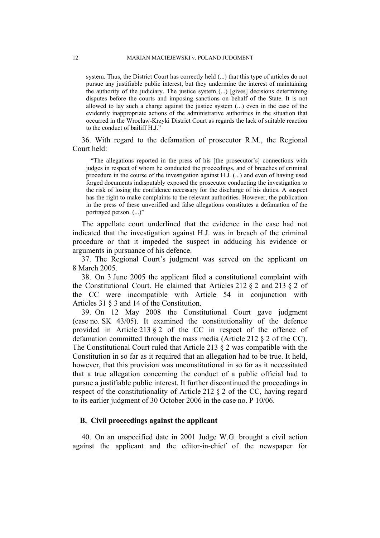system. Thus, the District Court has correctly held (...) that this type of articles do not pursue any justifiable public interest, but they undermine the interest of maintaining the authority of the judiciary. The justice system (...) [gives] decisions determining disputes before the courts and imposing sanctions on behalf of the State. It is not allowed to lay such a charge against the justice system (...) even in the case of the evidently inappropriate actions of the administrative authorities in the situation that occurred in the Wrocław-Krzyki District Court as regards the lack of suitable reaction to the conduct of bailiff H.J."

36. With regard to the defamation of prosecutor R.M., the Regional Court held:

"The allegations reported in the press of his [the prosecutor's] connections with judges in respect of whom he conducted the proceedings, and of breaches of criminal procedure in the course of the investigation against H.J. (...) and even of having used forged documents indisputably exposed the prosecutor conducting the investigation to the risk of losing the confidence necessary for the discharge of his duties. A suspect has the right to make complaints to the relevant authorities. However, the publication in the press of these unverified and false allegations constitutes a defamation of the portrayed person. (...)"

The appellate court underlined that the evidence in the case had not indicated that the investigation against H.J. was in breach of the criminal procedure or that it impeded the suspect in adducing his evidence or arguments in pursuance of his defence.

37. The Regional Court's judgment was served on the applicant on 8 March 2005.

38. On 3 June 2005 the applicant filed a constitutional complaint with the Constitutional Court. He claimed that Articles 212 § 2 and 213 § 2 of the CC were incompatible with Article 54 in conjunction with Articles 31 § 3 and 14 of the Constitution.

39. On 12 May 2008 the Constitutional Court gave judgment (case no. SK 43/05). It examined the constitutionality of the defence provided in Article 213 § 2 of the CC in respect of the offence of defamation committed through the mass media (Article 212 § 2 of the CC). The Constitutional Court ruled that Article 213 § 2 was compatible with the Constitution in so far as it required that an allegation had to be true. It held, however, that this provision was unconstitutional in so far as it necessitated that a true allegation concerning the conduct of a public official had to pursue a justifiable public interest. It further discontinued the proceedings in respect of the constitutionality of Article 212 § 2 of the CC, having regard to its earlier judgment of 30 October 2006 in the case no. P 10/06.

## **B. Civil proceedings against the applicant**

40. On an unspecified date in 2001 Judge W.G. brought a civil action against the applicant and the editor-in-chief of the newspaper for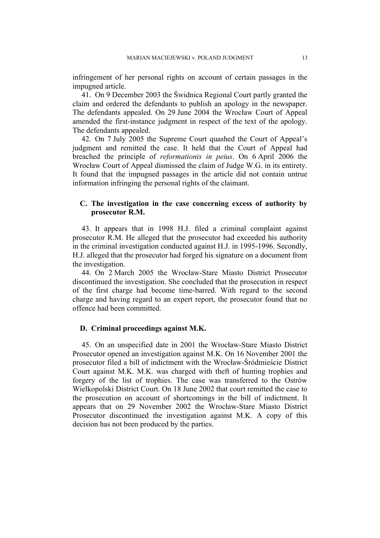infringement of her personal rights on account of certain passages in the impugned article.

41. On 9 December 2003 the Świdnica Regional Court partly granted the claim and ordered the defendants to publish an apology in the newspaper. The defendants appealed. On 29 June 2004 the Wrocław Court of Appeal amended the first-instance judgment in respect of the text of the apology. The defendants appealed.

42. On 7 July 2005 the Supreme Court quashed the Court of Appeal's judgment and remitted the case. It held that the Court of Appeal had breached the principle of *reformationis in peius*. On 6 April 2006 the Wrocław Court of Appeal dismissed the claim of Judge W.G. in its entirety. It found that the impugned passages in the article did not contain untrue information infringing the personal rights of the claimant.

## **C. The investigation in the case concerning excess of authority by prosecutor R.M.**

43. It appears that in 1998 H.J. filed a criminal complaint against prosecutor R.M. He alleged that the prosecutor had exceeded his authority in the criminal investigation conducted against H.J. in 1995-1996. Secondly, H.J. alleged that the prosecutor had forged his signature on a document from the investigation.

44. On 2 March 2005 the Wrocław-Stare Miasto District Prosecutor discontinued the investigation. She concluded that the prosecution in respect of the first charge had become time-barred. With regard to the second charge and having regard to an expert report, the prosecutor found that no offence had been committed.

## **D. Criminal proceedings against M.K.**

45. On an unspecified date in 2001 the Wrocław-Stare Miasto District Prosecutor opened an investigation against M.K. On 16 November 2001 the prosecutor filed a bill of indictment with the Wrocław-Śródmieście District Court against M.K. M.K. was charged with theft of hunting trophies and forgery of the list of trophies. The case was transferred to the Ostrów Wielkopolski District Court. On 18 June 2002 that court remitted the case to the prosecution on account of shortcomings in the bill of indictment. It appears that on 29 November 2002 the Wrocław-Stare Miasto District Prosecutor discontinued the investigation against M.K. A copy of this decision has not been produced by the parties.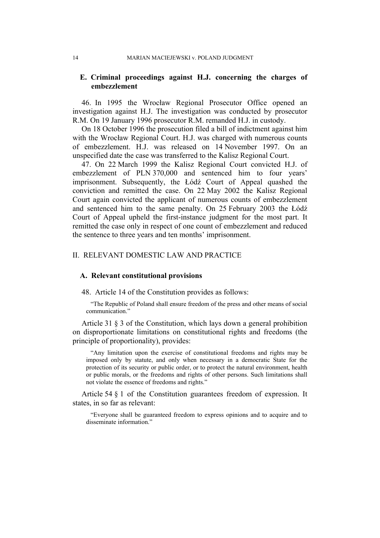## **E. Criminal proceedings against H.J. concerning the charges of embezzlement**

46. In 1995 the Wrocław Regional Prosecutor Office opened an investigation against H.J. The investigation was conducted by prosecutor R.M. On 19 January 1996 prosecutor R.M. remanded H.J. in custody.

On 18 October 1996 the prosecution filed a bill of indictment against him with the Wrocław Regional Court. H.J. was charged with numerous counts of embezzlement. H.J. was released on 14 November 1997. On an unspecified date the case was transferred to the Kalisz Regional Court.

47. On 22 March 1999 the Kalisz Regional Court convicted H.J. of embezzlement of PLN 370,000 and sentenced him to four years' imprisonment. Subsequently, the Łódź Court of Appeal quashed the conviction and remitted the case. On 22 May 2002 the Kalisz Regional Court again convicted the applicant of numerous counts of embezzlement and sentenced him to the same penalty. On 25 February 2003 the Łódź Court of Appeal upheld the first-instance judgment for the most part. It remitted the case only in respect of one count of embezzlement and reduced the sentence to three years and ten months' imprisonment.

## II. RELEVANT DOMESTIC LAW AND PRACTICE

### **A. Relevant constitutional provisions**

48. Article 14 of the Constitution provides as follows:

"The Republic of Poland shall ensure freedom of the press and other means of social communication."

Article 31 § 3 of the Constitution, which lays down a general prohibition on disproportionate limitations on constitutional rights and freedoms (the principle of proportionality), provides:

"Any limitation upon the exercise of constitutional freedoms and rights may be imposed only by statute, and only when necessary in a democratic State for the protection of its security or public order, or to protect the natural environment, health or public morals, or the freedoms and rights of other persons. Such limitations shall not violate the essence of freedoms and rights."

Article 54 § 1 of the Constitution guarantees freedom of expression. It states, in so far as relevant:

"Everyone shall be guaranteed freedom to express opinions and to acquire and to disseminate information"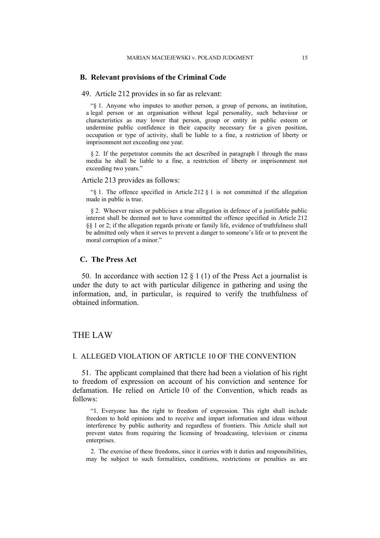#### **B. Relevant provisions of the Criminal Code**

49. Article 212 provides in so far as relevant:

"§ 1. Anyone who imputes to another person, a group of persons, an institution, a legal person or an organisation without legal personality, such behaviour or characteristics as may lower that person, group or entity in public esteem or undermine public confidence in their capacity necessary for a given position, occupation or type of activity, shall be liable to a fine, a restriction of liberty or imprisonment not exceeding one year.

§ 2. If the perpetrator commits the act described in paragraph 1 through the mass media he shall be liable to a fine, a restriction of liberty or imprisonment not exceeding two years."

Article 213 provides as follows:

" $\S$  1. The offence specified in Article 212  $\S$  1 is not committed if the allegation made in public is true.

§ 2. Whoever raises or publicises a true allegation in defence of a justifiable public interest shall be deemed not to have committed the offence specified in Article 212 §§ 1 or 2; if the allegation regards private or family life, evidence of truthfulness shall be admitted only when it serves to prevent a danger to someone's life or to prevent the moral corruption of a minor."

#### **C. The Press Act**

50. In accordance with section 12  $\S$  1 (1) of the Press Act a journalist is under the duty to act with particular diligence in gathering and using the information, and, in particular, is required to verify the truthfulness of obtained information.

# THE LAW

## I. ALLEGED VIOLATION OF ARTICLE 10 OF THE CONVENTION

51. The applicant complained that there had been a violation of his right to freedom of expression on account of his conviction and sentence for defamation. He relied on Article 10 of the Convention, which reads as follows:

"1. Everyone has the right to freedom of expression. This right shall include freedom to hold opinions and to receive and impart information and ideas without interference by public authority and regardless of frontiers. This Article shall not prevent states from requiring the licensing of broadcasting, television or cinema enterprises.

2. The exercise of these freedoms, since it carries with it duties and responsibilities, may be subject to such formalities, conditions, restrictions or penalties as are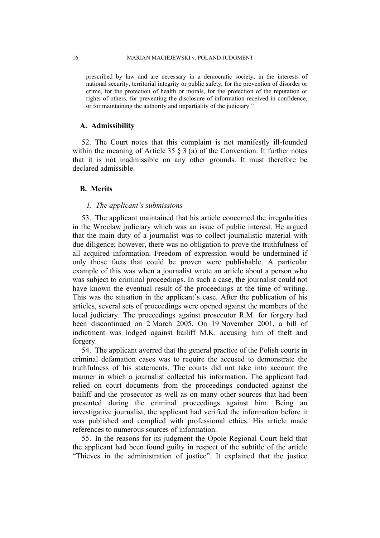prescribed by law and are necessary in a democratic society, in the interests of national security, territorial integrity or public safety, for the prevention of disorder or crime, for the protection of health or morals, for the protection of the reputation or rights of others, for preventing the disclosure of information received in confidence, or for maintaining the authority and impartiality of the judiciary."

#### **A. Admissibility**

52. The Court notes that this complaint is not manifestly ill-founded within the meaning of Article 35  $\S$  3 (a) of the Convention. It further notes that it is not inadmissible on any other grounds. It must therefore be declared admissible.

### **B. Merits**

#### *1. The applicant's submissions*

53. The applicant maintained that his article concerned the irregularities in the Wrocław judiciary which was an issue of public interest. He argued that the main duty of a journalist was to collect journalistic material with due diligence; however, there was no obligation to prove the truthfulness of all acquired information. Freedom of expression would be undermined if only those facts that could be proven were publishable. A particular example of this was when a journalist wrote an article about a person who was subject to criminal proceedings. In such a case, the journalist could not have known the eventual result of the proceedings at the time of writing. This was the situation in the applicant's case. After the publication of his articles, several sets of proceedings were opened against the members of the local judiciary. The proceedings against prosecutor R.M. for forgery had been discontinued on 2 March 2005. On 19 November 2001, a bill of indictment was lodged against bailiff M.K. accusing him of theft and forgery.

54. The applicant averred that the general practice of the Polish courts in criminal defamation cases was to require the accused to demonstrate the truthfulness of his statements. The courts did not take into account the manner in which a journalist collected his information. The applicant had relied on court documents from the proceedings conducted against the bailiff and the prosecutor as well as on many other sources that had been presented during the criminal proceedings against him. Being an investigative journalist, the applicant had verified the information before it was published and complied with professional ethics. His article made references to numerous sources of information.

55. In the reasons for its judgment the Opole Regional Court held that the applicant had been found guilty in respect of the subtitle of the article "Thieves in the administration of justice". It explained that the justice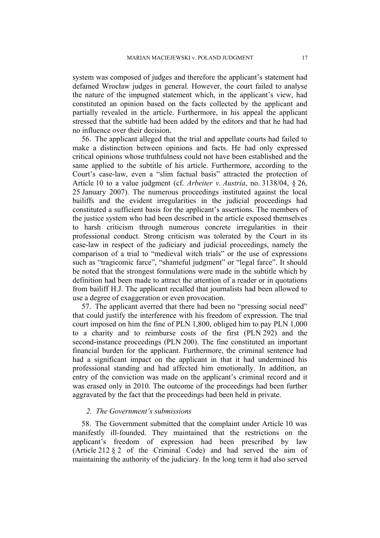system was composed of judges and therefore the applicant's statement had defamed Wrocław judges in general. However, the court failed to analyse the nature of the impugned statement which, in the applicant's view, had constituted an opinion based on the facts collected by the applicant and partially revealed in the article. Furthermore, in his appeal the applicant stressed that the subtitle had been added by the editors and that he had had no influence over their decision.

56. The applicant alleged that the trial and appellate courts had failed to make a distinction between opinions and facts. He had only expressed critical opinions whose truthfulness could not have been established and the same applied to the subtitle of his article. Furthermore, according to the Court's case-law, even a "slim factual basis" attracted the protection of Article 10 to a value judgment (cf. *Arbeiter v. Austria*, no. 3138/04, § 26, 25 January 2007). The numerous proceedings instituted against the local bailiffs and the evident irregularities in the judicial proceedings had constituted a sufficient basis for the applicant's assertions. The members of the justice system who had been described in the article exposed themselves to harsh criticism through numerous concrete irregularities in their professional conduct. Strong criticism was tolerated by the Court in its case-law in respect of the judiciary and judicial proceedings, namely the comparison of a trial to "medieval witch trials" or the use of expressions such as "tragicomic farce", "shameful judgment" or "legal farce". It should be noted that the strongest formulations were made in the subtitle which by definition had been made to attract the attention of a reader or in quotations from bailiff H.J. The applicant recalled that journalists had been allowed to use a degree of exaggeration or even provocation.

57. The applicant averred that there had been no "pressing social need" that could justify the interference with his freedom of expression. The trial court imposed on him the fine of PLN 1,800, obliged him to pay PLN 1,000 to a charity and to reimburse costs of the first (PLN 292) and the second-instance proceedings (PLN 200). The fine constituted an important financial burden for the applicant. Furthermore, the criminal sentence had had a significant impact on the applicant in that it had undermined his professional standing and had affected him emotionally. In addition, an entry of the conviction was made on the applicant's criminal record and it was erased only in 2010. The outcome of the proceedings had been further aggravated by the fact that the proceedings had been held in private.

### *2. The Government's submissions*

58. The Government submitted that the complaint under Article 10 was manifestly ill-founded. They maintained that the restrictions on the applicant's freedom of expression had been prescribed by law (Article 212 § 2 of the Criminal Code) and had served the aim of maintaining the authority of the judiciary. In the long term it had also served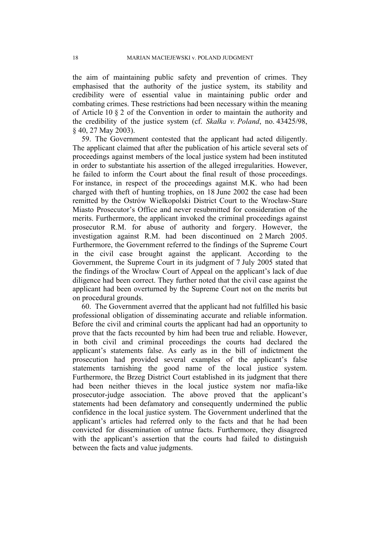the aim of maintaining public safety and prevention of crimes. They emphasised that the authority of the justice system, its stability and credibility were of essential value in maintaining public order and combating crimes. These restrictions had been necessary within the meaning of Article 10 § 2 of the Convention in order to maintain the authority and the credibility of the justice system (cf. *Skałka v. Poland*, no. 43425/98, § 40, 27 May 2003).

59. The Government contested that the applicant had acted diligently. The applicant claimed that after the publication of his article several sets of proceedings against members of the local justice system had been instituted in order to substantiate his assertion of the alleged irregularities. However, he failed to inform the Court about the final result of those proceedings. For instance, in respect of the proceedings against M.K. who had been charged with theft of hunting trophies, on 18 June 2002 the case had been remitted by the Ostrów Wielkopolski District Court to the Wrocław-Stare Miasto Prosecutor's Office and never resubmitted for consideration of the merits. Furthermore, the applicant invoked the criminal proceedings against prosecutor R.M. for abuse of authority and forgery. However, the investigation against R.M. had been discontinued on 2 March 2005. Furthermore, the Government referred to the findings of the Supreme Court in the civil case brought against the applicant. According to the Government, the Supreme Court in its judgment of 7 July 2005 stated that the findings of the Wrocław Court of Appeal on the applicant's lack of due diligence had been correct. They further noted that the civil case against the applicant had been overturned by the Supreme Court not on the merits but on procedural grounds.

60. The Government averred that the applicant had not fulfilled his basic professional obligation of disseminating accurate and reliable information. Before the civil and criminal courts the applicant had had an opportunity to prove that the facts recounted by him had been true and reliable. However, in both civil and criminal proceedings the courts had declared the applicant's statements false. As early as in the bill of indictment the prosecution had provided several examples of the applicant's false statements tarnishing the good name of the local justice system. Furthermore, the Brzeg District Court established in its judgment that there had been neither thieves in the local justice system nor mafia-like prosecutor-judge association. The above proved that the applicant's statements had been defamatory and consequently undermined the public confidence in the local justice system. The Government underlined that the applicant's articles had referred only to the facts and that he had been convicted for dissemination of untrue facts. Furthermore, they disagreed with the applicant's assertion that the courts had failed to distinguish between the facts and value judgments.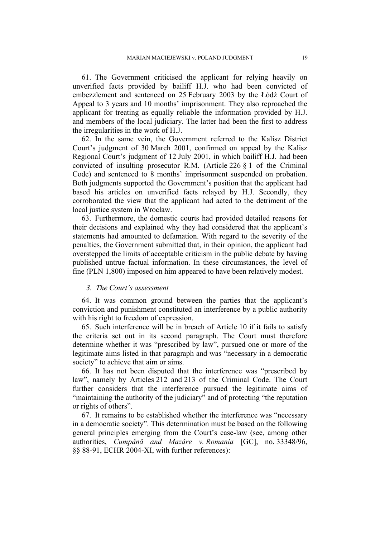61. The Government criticised the applicant for relying heavily on unverified facts provided by bailiff H.J. who had been convicted of embezzlement and sentenced on 25 February 2003 by the Łódź Court of Appeal to 3 years and 10 months' imprisonment. They also reproached the applicant for treating as equally reliable the information provided by H.J. and members of the local judiciary. The latter had been the first to address the irregularities in the work of H.J.

62. In the same vein, the Government referred to the Kalisz District Court's judgment of 30 March 2001, confirmed on appeal by the Kalisz Regional Court's judgment of 12 July 2001, in which bailiff H.J. had been convicted of insulting prosecutor R.M. (Article 226  $\S$  1 of the Criminal Code) and sentenced to 8 months' imprisonment suspended on probation. Both judgments supported the Government's position that the applicant had based his articles on unverified facts relayed by H.J. Secondly, they corroborated the view that the applicant had acted to the detriment of the local justice system in Wrocław.

63. Furthermore, the domestic courts had provided detailed reasons for their decisions and explained why they had considered that the applicant's statements had amounted to defamation. With regard to the severity of the penalties, the Government submitted that, in their opinion, the applicant had overstepped the limits of acceptable criticism in the public debate by having published untrue factual information. In these circumstances, the level of fine (PLN 1,800) imposed on him appeared to have been relatively modest.

#### *3. The Court's assessment*

64. It was common ground between the parties that the applicant's conviction and punishment constituted an interference by a public authority with his right to freedom of expression.

65. Such interference will be in breach of Article 10 if it fails to satisfy the criteria set out in its second paragraph. The Court must therefore determine whether it was "prescribed by law", pursued one or more of the legitimate aims listed in that paragraph and was "necessary in a democratic society" to achieve that aim or aims.

66. It has not been disputed that the interference was "prescribed by law", namely by Articles 212 and 213 of the Criminal Code. The Court further considers that the interference pursued the legitimate aims of "maintaining the authority of the judiciary" and of protecting "the reputation or rights of others".

67. It remains to be established whether the interference was "necessary in a democratic society". This determination must be based on the following general principles emerging from the Court's case-law (see, among other authorities, *Cumpǎnǎ and Mazǎre v. Romania* [GC], no. 33348/96, §§ 88-91, ECHR 2004-XI, with further references):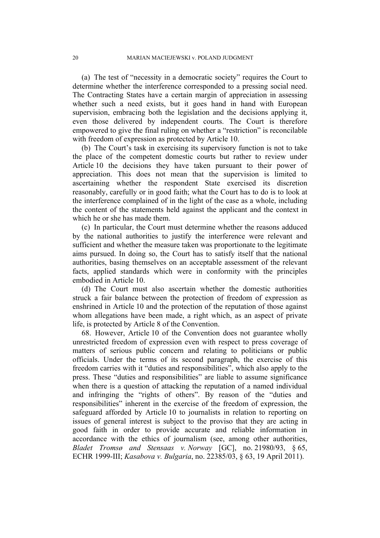(a) The test of "necessity in a democratic society" requires the Court to determine whether the interference corresponded to a pressing social need. The Contracting States have a certain margin of appreciation in assessing whether such a need exists, but it goes hand in hand with European supervision, embracing both the legislation and the decisions applying it, even those delivered by independent courts. The Court is therefore empowered to give the final ruling on whether a "restriction" is reconcilable with freedom of expression as protected by Article 10.

(b) The Court's task in exercising its supervisory function is not to take the place of the competent domestic courts but rather to review under Article 10 the decisions they have taken pursuant to their power of appreciation. This does not mean that the supervision is limited to ascertaining whether the respondent State exercised its discretion reasonably, carefully or in good faith; what the Court has to do is to look at the interference complained of in the light of the case as a whole, including the content of the statements held against the applicant and the context in which he or she has made them.

(c) In particular, the Court must determine whether the reasons adduced by the national authorities to justify the interference were relevant and sufficient and whether the measure taken was proportionate to the legitimate aims pursued. In doing so, the Court has to satisfy itself that the national authorities, basing themselves on an acceptable assessment of the relevant facts, applied standards which were in conformity with the principles embodied in Article 10.

(d) The Court must also ascertain whether the domestic authorities struck a fair balance between the protection of freedom of expression as enshrined in Article 10 and the protection of the reputation of those against whom allegations have been made, a right which, as an aspect of private life, is protected by Article 8 of the Convention.

68. However, Article 10 of the Convention does not guarantee wholly unrestricted freedom of expression even with respect to press coverage of matters of serious public concern and relating to politicians or public officials. Under the terms of its second paragraph, the exercise of this freedom carries with it "duties and responsibilities", which also apply to the press. These "duties and responsibilities" are liable to assume significance when there is a question of attacking the reputation of a named individual and infringing the "rights of others". By reason of the "duties and responsibilities" inherent in the exercise of the freedom of expression, the safeguard afforded by Article 10 to journalists in relation to reporting on issues of general interest is subject to the proviso that they are acting in good faith in order to provide accurate and reliable information in accordance with the ethics of journalism (see, among other authorities, *Bladet Tromsø and Stensaas v. Norway* [GC], no. 21980/93, § 65, ECHR 1999-III; *Kasabova v. Bulgaria*, no. 22385/03, § 63, 19 April 2011).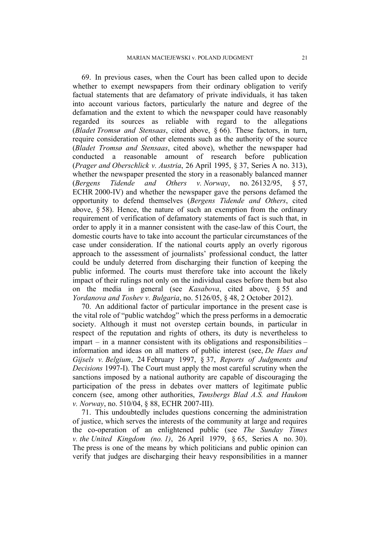69. In previous cases, when the Court has been called upon to decide whether to exempt newspapers from their ordinary obligation to verify factual statements that are defamatory of private individuals, it has taken into account various factors, particularly the nature and degree of the defamation and the extent to which the newspaper could have reasonably regarded its sources as reliable with regard to the allegations (*Bladet Tromsø and Stensaas*, cited above, § 66). These factors, in turn, require consideration of other elements such as the authority of the source (*Bladet Tromsø and Stensaas*, cited above), whether the newspaper had conducted a reasonable amount of research before publication (*Prager and Oberschlick v. Austria*, 26 April 1995, § 37, Series A no. 313), whether the newspaper presented the story in a reasonably balanced manner (*Bergens Tidende and Others v. Norway*, no. 26132/95, § 57, ECHR 2000-IV) and whether the newspaper gave the persons defamed the opportunity to defend themselves (*Bergens Tidende and Others*, cited above,  $\S$  58). Hence, the nature of such an exemption from the ordinary requirement of verification of defamatory statements of fact is such that, in order to apply it in a manner consistent with the case-law of this Court, the domestic courts have to take into account the particular circumstances of the case under consideration. If the national courts apply an overly rigorous approach to the assessment of journalists' professional conduct, the latter could be unduly deterred from discharging their function of keeping the public informed. The courts must therefore take into account the likely impact of their rulings not only on the individual cases before them but also on the media in general (see *Kasabova*, cited above, § 55 and *Yordanova and Toshev v. Bulgaria*, no. 5126/05, § 48, 2 October 2012).

70. An additional factor of particular importance in the present case is the vital role of "public watchdog" which the press performs in a democratic society. Although it must not overstep certain bounds, in particular in respect of the reputation and rights of others, its duty is nevertheless to impart – in a manner consistent with its obligations and responsibilities – information and ideas on all matters of public interest (see, *De Haes and Gijsels v. Belgium*, 24 February 1997, § 37, *Reports of Judgments and Decisions* 1997-I). The Court must apply the most careful scrutiny when the sanctions imposed by a national authority are capable of discouraging the participation of the press in debates over matters of legitimate public concern (see, among other authorities, *Tønsbergs Blad A.S. and Haukom v. Norway*, no. 510/04, § 88, ECHR 2007-III).

71. This undoubtedly includes questions concerning the administration of justice, which serves the interests of the community at large and requires the co-operation of an enlightened public (see *The Sunday Times v. the United Kingdom (no. 1)*, 26 April 1979, § 65, Series A no. 30). The press is one of the means by which politicians and public opinion can verify that judges are discharging their heavy responsibilities in a manner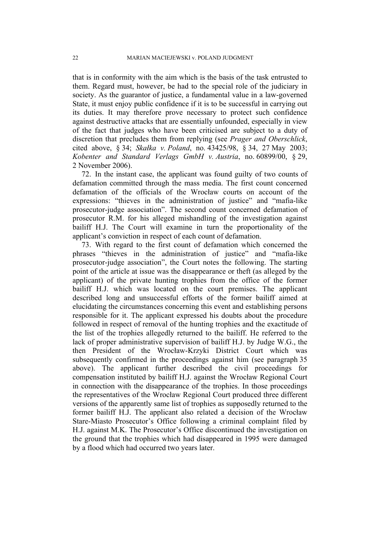that is in conformity with the aim which is the basis of the task entrusted to them. Regard must, however, be had to the special role of the judiciary in society. As the guarantor of justice, a fundamental value in a law-governed State, it must enjoy public confidence if it is to be successful in carrying out its duties. It may therefore prove necessary to protect such confidence against destructive attacks that are essentially unfounded, especially in view of the fact that judges who have been criticised are subject to a duty of discretion that precludes them from replying (see *Prager and Oberschlick*, cited above, § 34; *Skałka v. Poland*, no. 43425/98, § 34, 27 May 2003; *Kobenter and Standard Verlags GmbH v. Austria*, no. 60899/00, § 29, 2 November 2006).

72. In the instant case, the applicant was found guilty of two counts of defamation committed through the mass media. The first count concerned defamation of the officials of the Wrocław courts on account of the expressions: "thieves in the administration of justice" and "mafia-like prosecutor-judge association". The second count concerned defamation of prosecutor R.M. for his alleged mishandling of the investigation against bailiff H.J. The Court will examine in turn the proportionality of the applicant's conviction in respect of each count of defamation.

73. With regard to the first count of defamation which concerned the phrases "thieves in the administration of justice" and "mafia-like prosecutor-judge association", the Court notes the following. The starting point of the article at issue was the disappearance or theft (as alleged by the applicant) of the private hunting trophies from the office of the former bailiff H.J. which was located on the court premises. The applicant described long and unsuccessful efforts of the former bailiff aimed at elucidating the circumstances concerning this event and establishing persons responsible for it. The applicant expressed his doubts about the procedure followed in respect of removal of the hunting trophies and the exactitude of the list of the trophies allegedly returned to the bailiff. He referred to the lack of proper administrative supervision of bailiff H.J. by Judge W.G., the then President of the Wrocław-Krzyki District Court which was subsequently confirmed in the proceedings against him (see paragraph 35) above). The applicant further described the civil proceedings for compensation instituted by bailiff H.J. against the Wrocław Regional Court in connection with the disappearance of the trophies. In those proceedings the representatives of the Wrocław Regional Court produced three different versions of the apparently same list of trophies as supposedly returned to the former bailiff H.J. The applicant also related a decision of the Wrocław Stare-Miasto Prosecutor's Office following a criminal complaint filed by H.J. against M.K. The Prosecutor's Office discontinued the investigation on the ground that the trophies which had disappeared in 1995 were damaged by a flood which had occurred two years later.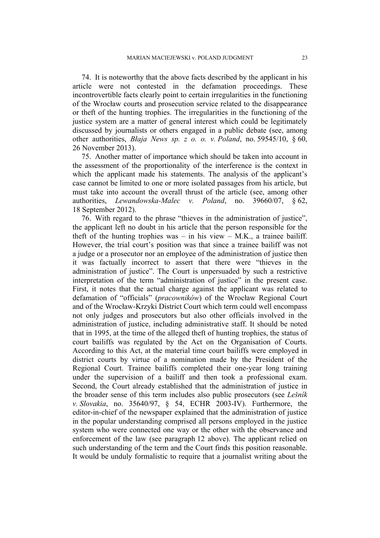74. It is noteworthy that the above facts described by the applicant in his article were not contested in the defamation proceedings. These incontrovertible facts clearly point to certain irregularities in the functioning of the Wrocław courts and prosecution service related to the disappearance or theft of the hunting trophies. The irregularities in the functioning of the justice system are a matter of general interest which could be legitimately discussed by journalists or others engaged in a public debate (see, among other authorities, *Błaja News sp. z o. o. v. Poland*, no. 59545/10, § 60, 26 November 2013).

75. Another matter of importance which should be taken into account in the assessment of the proportionality of the interference is the context in which the applicant made his statements. The analysis of the applicant's case cannot be limited to one or more isolated passages from his article, but must take into account the overall thrust of the article (see, among other authorities, *Lewandowska-Malec v. Poland*, no. 39660/07, § 62, 18 September 2012).

76. With regard to the phrase "thieves in the administration of justice", the applicant left no doubt in his article that the person responsible for the theft of the hunting trophies was – in his view – M.K., a trainee bailiff. However, the trial court's position was that since a trainee bailiff was not a judge or a prosecutor nor an employee of the administration of justice then it was factually incorrect to assert that there were "thieves in the administration of justice". The Court is unpersuaded by such a restrictive interpretation of the term "administration of justice" in the present case. First, it notes that the actual charge against the applicant was related to defamation of "officials" (*pracowników*) of the Wrocław Regional Court and of the Wrocław-Krzyki District Court which term could well encompass not only judges and prosecutors but also other officials involved in the administration of justice, including administrative staff. It should be noted that in 1995, at the time of the alleged theft of hunting trophies, the status of court bailiffs was regulated by the Act on the Organisation of Courts. According to this Act, at the material time court bailiffs were employed in district courts by virtue of a nomination made by the President of the Regional Court. Trainee bailiffs completed their one-year long training under the supervision of a bailiff and then took a professional exam. Second, the Court already established that the administration of justice in the broader sense of this term includes also public prosecutors (see *Lešník v. Slovakia*, no. 35640/97, § 54, ECHR 2003-IV). Furthermore, the editor-in-chief of the newspaper explained that the administration of justice in the popular understanding comprised all persons employed in the justice system who were connected one way or the other with the observance and enforcement of the law (see paragraph 12 above). The applicant relied on such understanding of the term and the Court finds this position reasonable. It would be unduly formalistic to require that a journalist writing about the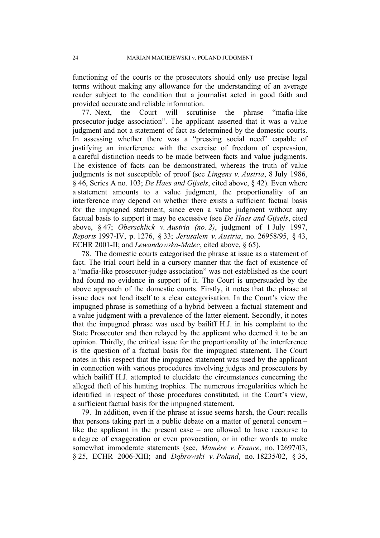functioning of the courts or the prosecutors should only use precise legal terms without making any allowance for the understanding of an average reader subject to the condition that a journalist acted in good faith and provided accurate and reliable information.

77. Next, the Court will scrutinise the phrase "mafia-like prosecutor-judge association". The applicant asserted that it was a value judgment and not a statement of fact as determined by the domestic courts. In assessing whether there was a "pressing social need" capable of justifying an interference with the exercise of freedom of expression, a careful distinction needs to be made between facts and value judgments. The existence of facts can be demonstrated, whereas the truth of value judgments is not susceptible of proof (see *Lingens v. Austria*, 8 July 1986, § 46, Series A no. 103; *De Haes and Gijsels*, cited above, § 42). Even where a statement amounts to a value judgment, the proportionality of an interference may depend on whether there exists a sufficient factual basis for the impugned statement, since even a value judgment without any factual basis to support it may be excessive (see *De Haes and Gijsels*, cited above, § 47; *Oberschlick v. Austria (no. 2)*, judgment of 1 July 1997, *Reports* 1997-IV, p. 1276, § 33; *Jerusalem v. Austria*, no. 26958/95, § 43, ECHR 2001-II; and *Lewandowska-Malec*, cited above, § 65).

78. The domestic courts categorised the phrase at issue as a statement of fact. The trial court held in a cursory manner that the fact of existence of a "mafia-like prosecutor-judge association" was not established as the court had found no evidence in support of it. The Court is unpersuaded by the above approach of the domestic courts. Firstly, it notes that the phrase at issue does not lend itself to a clear categorisation. In the Court's view the impugned phrase is something of a hybrid between a factual statement and a value judgment with a prevalence of the latter element. Secondly, it notes that the impugned phrase was used by bailiff H.J. in his complaint to the State Prosecutor and then relayed by the applicant who deemed it to be an opinion. Thirdly, the critical issue for the proportionality of the interference is the question of a factual basis for the impugned statement. The Court notes in this respect that the impugned statement was used by the applicant in connection with various procedures involving judges and prosecutors by which bailiff H.J. attempted to elucidate the circumstances concerning the alleged theft of his hunting trophies. The numerous irregularities which he identified in respect of those procedures constituted, in the Court's view, a sufficient factual basis for the impugned statement.

79. In addition, even if the phrase at issue seems harsh, the Court recalls that persons taking part in a public debate on a matter of general concern – like the applicant in the present case – are allowed to have recourse to a degree of exaggeration or even provocation, or in other words to make somewhat immoderate statements (see, *Mamère v. France*, no. 12697/03, § 25, ECHR 2006-XIII; and *Dąbrowski v. Poland*, no. 18235/02, § 35,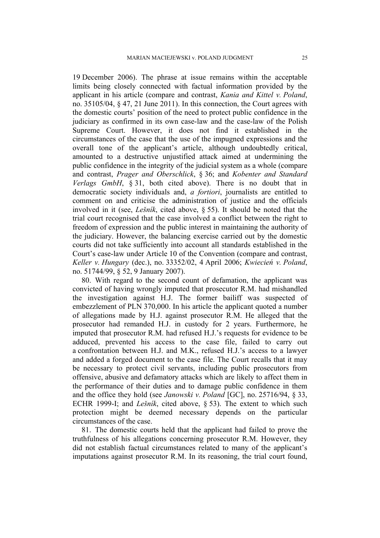19 December 2006). The phrase at issue remains within the acceptable limits being closely connected with factual information provided by the applicant in his article (compare and contrast, *Kania and Kittel v. Poland*, no. 35105/04, § 47, 21 June 2011). In this connection, the Court agrees with the domestic courts' position of the need to protect public confidence in the judiciary as confirmed in its own case-law and the case-law of the Polish Supreme Court. However, it does not find it established in the circumstances of the case that the use of the impugned expressions and the overall tone of the applicant's article, although undoubtedly critical, amounted to a destructive unjustified attack aimed at undermining the public confidence in the integrity of the judicial system as a whole (compare and contrast, *Prager and Oberschlick*, § 36; and *Kobenter and Standard Verlags GmbH*, § 31, both cited above). There is no doubt that in democratic society individuals and, *a fortiori*, journalists are entitled to comment on and criticise the administration of justice and the officials involved in it (see, *Lešník*, cited above, § 55). It should be noted that the trial court recognised that the case involved a conflict between the right to freedom of expression and the public interest in maintaining the authority of the judiciary. However, the balancing exercise carried out by the domestic courts did not take sufficiently into account all standards established in the Court's case-law under Article 10 of the Convention (compare and contrast, *Keller v. Hungary* (dec.), no. 33352/02, 4 April 2006; *Kwiecień v. Poland*, no. 51744/99, § 52, 9 January 2007).

80. With regard to the second count of defamation, the applicant was convicted of having wrongly imputed that prosecutor R.M. had mishandled the investigation against H.J. The former bailiff was suspected of embezzlement of PLN 370,000. In his article the applicant quoted a number of allegations made by H.J. against prosecutor R.M. He alleged that the prosecutor had remanded H.J. in custody for 2 years. Furthermore, he imputed that prosecutor R.M. had refused H.J.'s requests for evidence to be adduced, prevented his access to the case file, failed to carry out a confrontation between H.J. and M.K., refused H.J.'s access to a lawyer and added a forged document to the case file. The Court recalls that it may be necessary to protect civil servants, including public prosecutors from offensive, abusive and defamatory attacks which are likely to affect them in the performance of their duties and to damage public confidence in them and the office they hold (see *Janowski v. Poland* [GC], no. 25716/94, § 33, ECHR 1999-I; and *Lešník*, cited above, § 53). The extent to which such protection might be deemed necessary depends on the particular circumstances of the case.

81. The domestic courts held that the applicant had failed to prove the truthfulness of his allegations concerning prosecutor R.M. However, they did not establish factual circumstances related to many of the applicant's imputations against prosecutor R.M. In its reasoning, the trial court found,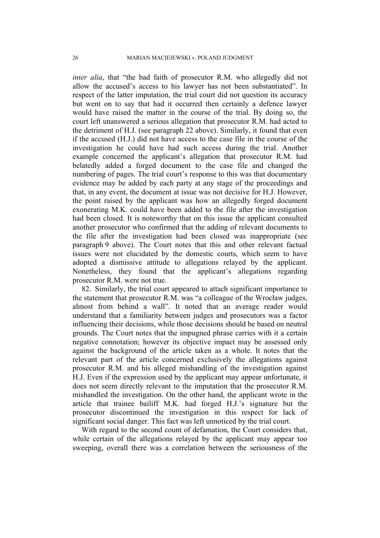*inter alia*, that "the bad faith of prosecutor R.M. who allegedly did not allow the accused's access to his lawyer has not been substantiated". In respect of the latter imputation, the trial court did not question its accuracy but went on to say that had it occurred then certainly a defence lawyer would have raised the matter in the course of the trial. By doing so, the court left unanswered a serious allegation that prosecutor R.M. had acted to the detriment of H.J. (see paragraph 22 above). Similarly, it found that even if the accused (H.J.) did not have access to the case file in the course of the investigation he could have had such access during the trial. Another example concerned the applicant's allegation that prosecutor R.M. had belatedly added a forged document to the case file and changed the numbering of pages. The trial court's response to this was that documentary evidence may be added by each party at any stage of the proceedings and that, in any event, the document at issue was not decisive for H.J. However, the point raised by the applicant was how an allegedly forged document exonerating M.K. could have been added to the file after the investigation had been closed. It is noteworthy that on this issue the applicant consulted another prosecutor who confirmed that the adding of relevant documents to the file after the investigation had been closed was inappropriate (see paragraph 9 above). The Court notes that this and other relevant factual issues were not elucidated by the domestic courts, which seem to have adopted a dismissive attitude to allegations relayed by the applicant. Nonetheless, they found that the applicant's allegations regarding prosecutor R.M. were not true.

82. Similarly, the trial court appeared to attach significant importance to the statement that prosecutor R.M. was "a colleague of the Wrocław judges, almost from behind a wall". It noted that an average reader would understand that a familiarity between judges and prosecutors was a factor influencing their decisions, while those decisions should be based on neutral grounds. The Court notes that the impugned phrase carries with it a certain negative connotation; however its objective impact may be assessed only against the background of the article taken as a whole. It notes that the relevant part of the article concerned exclusively the allegations against prosecutor R.M. and his alleged mishandling of the investigation against H.J. Even if the expression used by the applicant may appear unfortunate, it does not seem directly relevant to the imputation that the prosecutor R.M. mishandled the investigation. On the other hand, the applicant wrote in the article that trainee bailiff M.K. had forged H.J.'s signature but the prosecutor discontinued the investigation in this respect for lack of significant social danger. This fact was left unnoticed by the trial court.

With regard to the second count of defamation, the Court considers that, while certain of the allegations relayed by the applicant may appear too sweeping, overall there was a correlation between the seriousness of the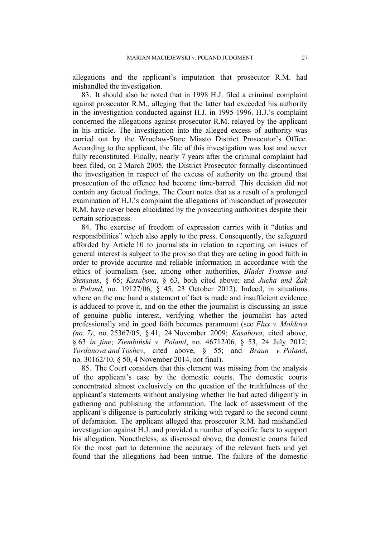allegations and the applicant's imputation that prosecutor R.M. had mishandled the investigation.

83. It should also be noted that in 1998 H.J. filed a criminal complaint against prosecutor R.M., alleging that the latter had exceeded his authority in the investigation conducted against H.J. in 1995-1996. H.J.'s complaint concerned the allegations against prosecutor R.M. relayed by the applicant in his article. The investigation into the alleged excess of authority was carried out by the Wrocław-Stare Miasto District Prosecutor's Office. According to the applicant, the file of this investigation was lost and never fully reconstituted. Finally, nearly 7 years after the criminal complaint had been filed, on 2 March 2005, the District Prosecutor formally discontinued the investigation in respect of the excess of authority on the ground that prosecution of the offence had become time-barred. This decision did not contain any factual findings. The Court notes that as a result of a prolonged examination of H.J.'s complaint the allegations of misconduct of prosecutor R.M. have never been elucidated by the prosecuting authorities despite their certain seriousness.

84. The exercise of freedom of expression carries with it "duties and responsibilities" which also apply to the press. Consequently, the safeguard afforded by Article 10 to journalists in relation to reporting on issues of general interest is subject to the proviso that they are acting in good faith in order to provide accurate and reliable information in accordance with the ethics of journalism (see, among other authorities, *Bladet Tromsø and Stensaas*, § 65; *Kasabova*, § 63, both cited above; and *Jucha and Żak v. Poland*, no. 19127/06, § 45, 23 October 2012). Indeed, in situations where on the one hand a statement of fact is made and insufficient evidence is adduced to prove it, and on the other the journalist is discussing an issue of genuine public interest, verifying whether the journalist has acted professionally and in good faith becomes paramount (see *Flux v. Moldova (no. 7)*, no. 25367/05, § 41, 24 November 2009; *Kasabova*, cited above, § 63 *in fine*; *Ziembiński v. Poland*, no. 46712/06, § 53, 24 July 2012; *Yordanova and Toshev*, cited above, § 55; and *Braun v. Poland*, no. 30162/10, § 50, 4 November 2014, not final).

85. The Court considers that this element was missing from the analysis of the applicant's case by the domestic courts. The domestic courts concentrated almost exclusively on the question of the truthfulness of the applicant's statements without analysing whether he had acted diligently in gathering and publishing the information. The lack of assessment of the applicant's diligence is particularly striking with regard to the second count of defamation. The applicant alleged that prosecutor R.M. had mishandled investigation against H.J. and provided a number of specific facts to support his allegation. Nonetheless, as discussed above, the domestic courts failed for the most part to determine the accuracy of the relevant facts and yet found that the allegations had been untrue. The failure of the domestic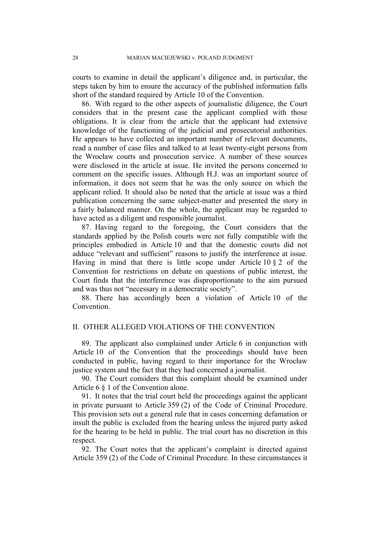courts to examine in detail the applicant's diligence and, in particular, the steps taken by him to ensure the accuracy of the published information falls short of the standard required by Article 10 of the Convention.

86. With regard to the other aspects of journalistic diligence, the Court considers that in the present case the applicant complied with those obligations. It is clear from the article that the applicant had extensive knowledge of the functioning of the judicial and prosecutorial authorities. He appears to have collected an important number of relevant documents, read a number of case files and talked to at least twenty-eight persons from the Wrocław courts and prosecution service. A number of these sources were disclosed in the article at issue. He invited the persons concerned to comment on the specific issues. Although H.J. was an important source of information, it does not seem that he was the only source on which the applicant relied. It should also be noted that the article at issue was a third publication concerning the same subject-matter and presented the story in a fairly balanced manner. On the whole, the applicant may be regarded to have acted as a diligent and responsible journalist.

87. Having regard to the foregoing, the Court considers that the standards applied by the Polish courts were not fully compatible with the principles embodied in Article 10 and that the domestic courts did not adduce "relevant and sufficient" reasons to justify the interference at issue. Having in mind that there is little scope under Article  $10 \tbinom{2}{3} 2$  of the Convention for restrictions on debate on questions of public interest, the Court finds that the interference was disproportionate to the aim pursued and was thus not "necessary in a democratic society".

88. There has accordingly been a violation of Article 10 of the Convention.

# II. OTHER ALLEGED VIOLATIONS OF THE CONVENTION

89. The applicant also complained under Article 6 in conjunction with Article 10 of the Convention that the proceedings should have been conducted in public, having regard to their importance for the Wrocław justice system and the fact that they had concerned a journalist.

90. The Court considers that this complaint should be examined under Article 6 § 1 of the Convention alone.

91. It notes that the trial court held the proceedings against the applicant in private pursuant to Article 359 (2) of the Code of Criminal Procedure. This provision sets out a general rule that in cases concerning defamation or insult the public is excluded from the hearing unless the injured party asked for the hearing to be held in public. The trial court has no discretion in this respect.

92. The Court notes that the applicant's complaint is directed against Article 359 (2) of the Code of Criminal Procedure. In these circumstances it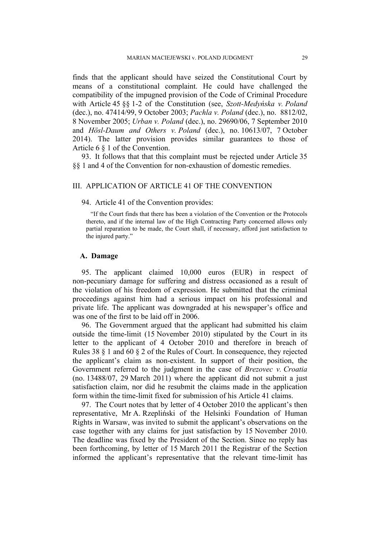finds that the applicant should have seized the Constitutional Court by means of a constitutional complaint. He could have challenged the compatibility of the impugned provision of the Code of Criminal Procedure with Article 45 §§ 1-2 of the Constitution (see, *Szott-Medyńska v. Poland* (dec.), no. 47414/99, 9 October 2003; *Pachla v. Poland* (dec.), no. 8812/02, 8 November 2005; *Urban v. Poland* (dec.), no. 29690/06, 7 September 2010 and *Hösl-Daum and Others v. Poland* (dec.), no. 10613/07, 7 October 2014). The latter provision provides similar guarantees to those of Article 6 § 1 of the Convention.

93. It follows that that this complaint must be rejected under Article 35 §§ 1 and 4 of the Convention for non-exhaustion of domestic remedies.

## III. APPLICATION OF ARTICLE 41 OF THE CONVENTION

#### 94. Article 41 of the Convention provides:

"If the Court finds that there has been a violation of the Convention or the Protocols thereto, and if the internal law of the High Contracting Party concerned allows only partial reparation to be made, the Court shall, if necessary, afford just satisfaction to the injured party."

## **A. Damage**

95. The applicant claimed 10,000 euros (EUR) in respect of non-pecuniary damage for suffering and distress occasioned as a result of the violation of his freedom of expression. He submitted that the criminal proceedings against him had a serious impact on his professional and private life. The applicant was downgraded at his newspaper's office and was one of the first to be laid off in 2006.

96. The Government argued that the applicant had submitted his claim outside the time-limit (15 November 2010) stipulated by the Court in its letter to the applicant of 4 October 2010 and therefore in breach of Rules 38 § 1 and 60 § 2 of the Rules of Court. In consequence, they rejected the applicant's claim as non-existent. In support of their position, the Government referred to the judgment in the case of *Brezovec v. Croatia* (no. 13488/07, 29 March 2011) where the applicant did not submit a just satisfaction claim, nor did he resubmit the claims made in the application form within the time-limit fixed for submission of his Article 41 claims.

97. The Court notes that by letter of 4 October 2010 the applicant's then representative, Mr A. Rzepliński of the Helsinki Foundation of Human Rights in Warsaw, was invited to submit the applicant's observations on the case together with any claims for just satisfaction by 15 November 2010. The deadline was fixed by the President of the Section. Since no reply has been forthcoming, by letter of 15 March 2011 the Registrar of the Section informed the applicant's representative that the relevant time-limit has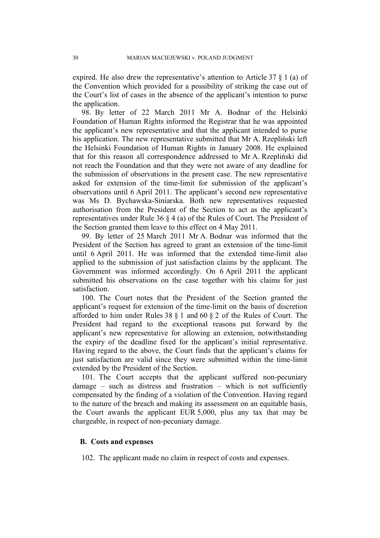expired. He also drew the representative's attention to Article 37 § 1 (a) of the Convention which provided for a possibility of striking the case out of the Court's list of cases in the absence of the applicant's intention to purse the application.

98. By letter of 22 March 2011 Mr A. Bodnar of the Helsinki Foundation of Human Rights informed the Registrar that he was appointed the applicant's new representative and that the applicant intended to purse his application. The new representative submitted that Mr A. Rzepliński left the Helsinki Foundation of Human Rights in January 2008. He explained that for this reason all correspondence addressed to Mr A. Rzepliński did not reach the Foundation and that they were not aware of any deadline for the submission of observations in the present case. The new representative asked for extension of the time-limit for submission of the applicant's observations until 6 April 2011. The applicant's second new representative was Ms D. Bychawska-Siniarska. Both new representatives requested authorisation from the President of the Section to act as the applicant's representatives under Rule 36 § 4 (a) of the Rules of Court. The President of the Section granted them leave to this effect on 4 May 2011.

99. By letter of 25 March 2011 Mr A. Bodnar was informed that the President of the Section has agreed to grant an extension of the time-limit until 6 April 2011. He was informed that the extended time-limit also applied to the submission of just satisfaction claims by the applicant. The Government was informed accordingly. On 6 April 2011 the applicant submitted his observations on the case together with his claims for just satisfaction.

100. The Court notes that the President of the Section granted the applicant's request for extension of the time-limit on the basis of discretion afforded to him under Rules 38 § 1 and 60 § 2 of the Rules of Court. The President had regard to the exceptional reasons put forward by the applicant's new representative for allowing an extension, notwithstanding the expiry of the deadline fixed for the applicant's initial representative. Having regard to the above, the Court finds that the applicant's claims for just satisfaction are valid since they were submitted within the time-limit extended by the President of the Section.

101. The Court accepts that the applicant suffered non-pecuniary damage – such as distress and frustration – which is not sufficiently compensated by the finding of a violation of the Convention. Having regard to the nature of the breach and making its assessment on an equitable basis, the Court awards the applicant EUR 5,000, plus any tax that may be chargeable, in respect of non-pecuniary damage.

## **B. Costs and expenses**

102. The applicant made no claim in respect of costs and expenses.